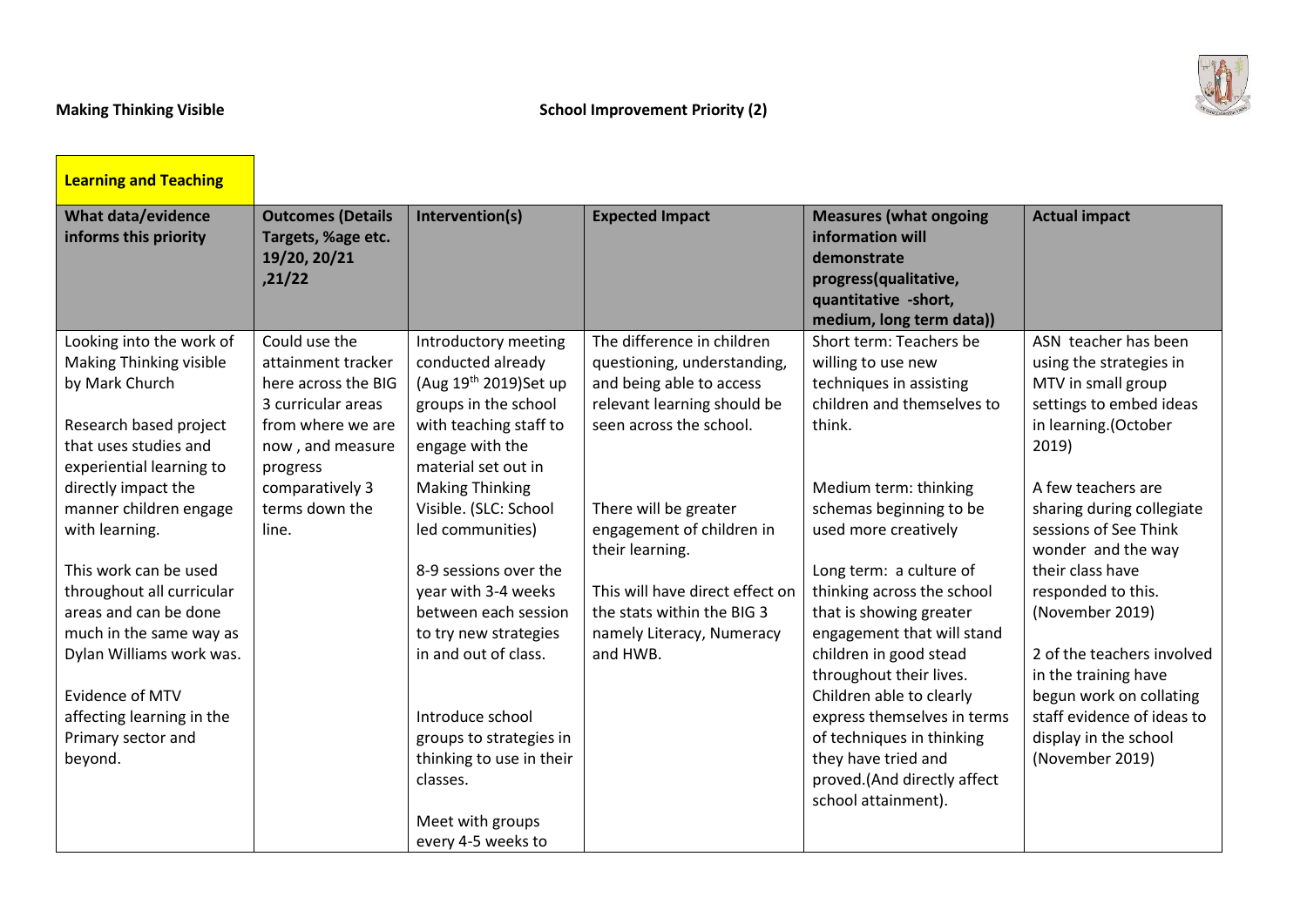<u> 1979 - Johann Barnett, f</u>



| <b>Learning and Teaching</b>                                                |                                                                          |                                                                  |                                                           |                                                                                                                                               |                                                    |
|-----------------------------------------------------------------------------|--------------------------------------------------------------------------|------------------------------------------------------------------|-----------------------------------------------------------|-----------------------------------------------------------------------------------------------------------------------------------------------|----------------------------------------------------|
| What data/evidence<br>informs this priority                                 | <b>Outcomes (Details</b><br>Targets, %age etc.<br>19/20, 20/21<br>,21/22 | Intervention(s)                                                  | <b>Expected Impact</b>                                    | <b>Measures (what ongoing</b><br>information will<br>demonstrate<br>progress(qualitative,<br>quantitative -short,<br>medium, long term data)) | <b>Actual impact</b>                               |
| Looking into the work of<br><b>Making Thinking visible</b>                  | Could use the<br>attainment tracker                                      | Introductory meeting<br>conducted already                        | The difference in children<br>questioning, understanding, | Short term: Teachers be<br>willing to use new                                                                                                 | ASN teacher has been<br>using the strategies in    |
| by Mark Church                                                              | here across the BIG<br>3 curricular areas                                | (Aug 19 <sup>th</sup> 2019)Set up<br>groups in the school        | and being able to access<br>relevant learning should be   | techniques in assisting<br>children and themselves to                                                                                         | MTV in small group<br>settings to embed ideas      |
| Research based project<br>that uses studies and<br>experiential learning to | from where we are<br>now, and measure<br>progress                        | with teaching staff to<br>engage with the<br>material set out in | seen across the school.                                   | think.                                                                                                                                        | in learning.(October<br>2019)                      |
| directly impact the                                                         | comparatively 3                                                          | <b>Making Thinking</b>                                           |                                                           | Medium term: thinking                                                                                                                         | A few teachers are                                 |
| manner children engage                                                      | terms down the                                                           | Visible. (SLC: School                                            | There will be greater                                     | schemas beginning to be                                                                                                                       | sharing during collegiate                          |
| with learning.                                                              | line.                                                                    | led communities)                                                 | engagement of children in<br>their learning.              | used more creatively                                                                                                                          | sessions of See Think<br>wonder and the way        |
| This work can be used                                                       |                                                                          | 8-9 sessions over the                                            |                                                           | Long term: a culture of                                                                                                                       | their class have                                   |
| throughout all curricular                                                   |                                                                          | year with 3-4 weeks                                              | This will have direct effect on                           | thinking across the school                                                                                                                    | responded to this.                                 |
| areas and can be done                                                       |                                                                          | between each session                                             | the stats within the BIG 3                                | that is showing greater                                                                                                                       | (November 2019)                                    |
| much in the same way as                                                     |                                                                          | to try new strategies                                            | namely Literacy, Numeracy                                 | engagement that will stand                                                                                                                    |                                                    |
| Dylan Williams work was.                                                    |                                                                          | in and out of class.                                             | and HWB.                                                  | children in good stead<br>throughout their lives.                                                                                             | 2 of the teachers involved<br>in the training have |
| Evidence of MTV                                                             |                                                                          |                                                                  |                                                           | Children able to clearly                                                                                                                      | begun work on collating                            |
| affecting learning in the                                                   |                                                                          | Introduce school                                                 |                                                           | express themselves in terms                                                                                                                   | staff evidence of ideas to                         |
| Primary sector and                                                          |                                                                          | groups to strategies in                                          |                                                           | of techniques in thinking                                                                                                                     | display in the school                              |
| beyond.                                                                     |                                                                          | thinking to use in their                                         |                                                           | they have tried and                                                                                                                           | (November 2019)                                    |
|                                                                             |                                                                          | classes.                                                         |                                                           | proved.(And directly affect<br>school attainment).                                                                                            |                                                    |
|                                                                             |                                                                          | Meet with groups                                                 |                                                           |                                                                                                                                               |                                                    |
|                                                                             |                                                                          | every 4-5 weeks to                                               |                                                           |                                                                                                                                               |                                                    |